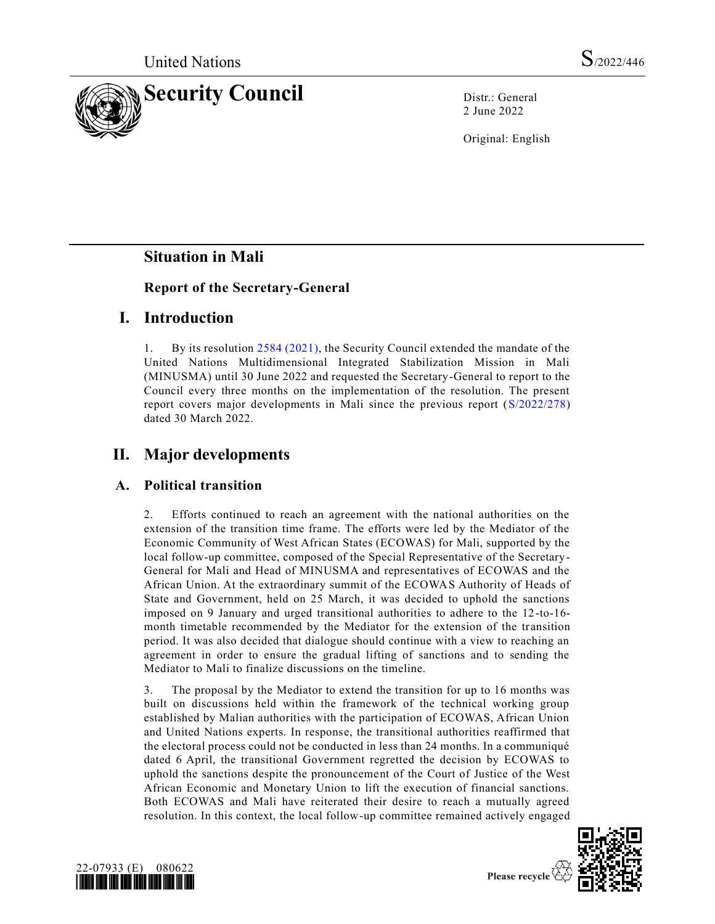

2 June 2022

Original: English

# **Situation in Mali**

#### **Report of the Secretary-General**

## **I. Introduction**

1. By its resolution [2584 \(2021\),](https://undocs.org/en/S/RES/2584(2021)) the Security Council extended the mandate of the United Nations Multidimensional Integrated Stabilization Mission in Mali (MINUSMA) until 30 June 2022 and requested the Secretary-General to report to the Council every three months on the implementation of the resolution. The present report covers major developments in Mali since the previous report [\(S/2022/278\)](https://undocs.org/en/S/2022/278) dated 30 March 2022.

# **II. Major developments**

#### **A. Political transition**

2. Efforts continued to reach an agreement with the national authorities on the extension of the transition time frame. The efforts were led by the Mediator of the Economic Community of West African States (ECOWAS) for Mali, supported by the local follow-up committee, composed of the Special Representative of the Secretary-General for Mali and Head of MINUSMA and representatives of ECOWAS and the African Union. At the extraordinary summit of the ECOWAS Authority of Heads of State and Government, held on 25 March, it was decided to uphold the sanctions imposed on 9 January and urged transitional authorities to adhere to the 12-to-16 month timetable recommended by the Mediator for the extension of the transition period. It was also decided that dialogue should continue with a view to reaching an agreement in order to ensure the gradual lifting of sanctions and to sending the Mediator to Mali to finalize discussions on the timeline.

3. The proposal by the Mediator to extend the transition for up to 16 months was built on discussions held within the framework of the technical working group established by Malian authorities with the participation of ECOWAS, African Union and United Nations experts. In response, the transitional authorities reaffirmed that the electoral process could not be conducted in less than 24 months. In a communiqué dated 6 April, the transitional Government regretted the decision by ECOWAS to uphold the sanctions despite the pronouncement of the Court of Justice of the West African Economic and Monetary Union to lift the execution of financial sanctions. Both ECOWAS and Mali have reiterated their desire to reach a mutually agreed resolution. In this context, the local follow-up committee remained actively engaged



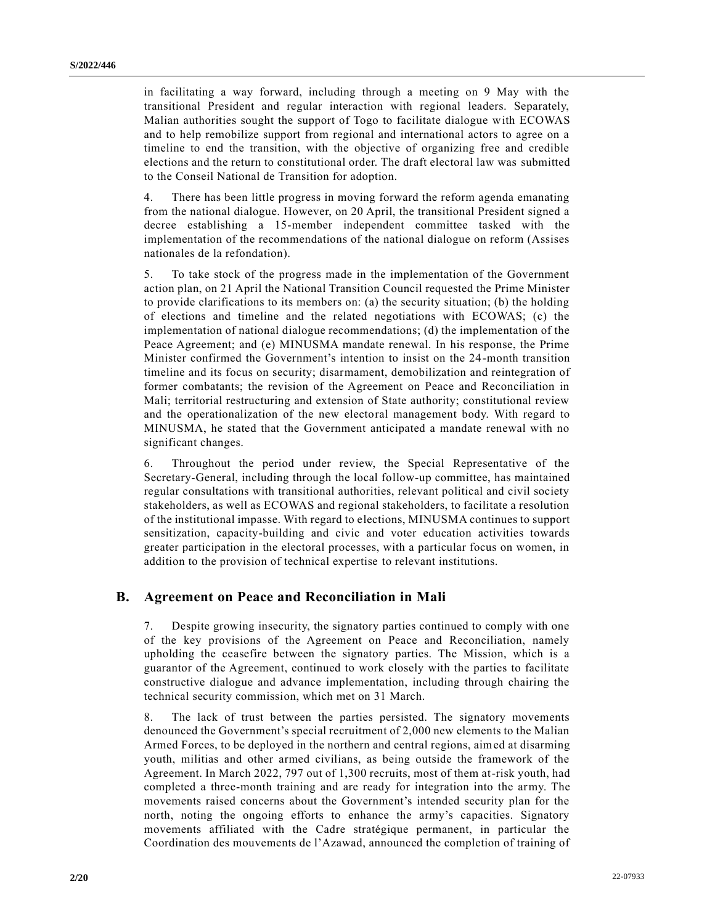in facilitating a way forward, including through a meeting on 9 May with the transitional President and regular interaction with regional leaders. Separately, Malian authorities sought the support of Togo to facilitate dialogue with ECOWAS and to help remobilize support from regional and international actors to agree on a timeline to end the transition, with the objective of organizing free and credible elections and the return to constitutional order. The draft electoral law was submitted to the Conseil National de Transition for adoption.

4. There has been little progress in moving forward the reform agenda emanating from the national dialogue. However, on 20 April, the transitional President signed a decree establishing a 15-member independent committee tasked with the implementation of the recommendations of the national dialogue on reform (Assises nationales de la refondation).

5. To take stock of the progress made in the implementation of the Government action plan, on 21 April the National Transition Council requested the Prime Minister to provide clarifications to its members on: (a) the security situation; (b) the holding of elections and timeline and the related negotiations with ECOWAS; (c) the implementation of national dialogue recommendations; (d) the implementation of the Peace Agreement; and (e) MINUSMA mandate renewal. In his response, the Prime Minister confirmed the Government's intention to insist on the 24-month transition timeline and its focus on security; disarmament, demobilization and reintegration of former combatants; the revision of the Agreement on Peace and Reconciliation in Mali; territorial restructuring and extension of State authority; constitutional review and the operationalization of the new electoral management body. With regard to MINUSMA, he stated that the Government anticipated a mandate renewal with no significant changes.

6. Throughout the period under review, the Special Representative of the Secretary-General, including through the local follow-up committee, has maintained regular consultations with transitional authorities, relevant political and civil society stakeholders, as well as ECOWAS and regional stakeholders, to facilitate a resolution of the institutional impasse. With regard to elections, MINUSMA continues to support sensitization, capacity-building and civic and voter education activities towards greater participation in the electoral processes, with a particular focus on women, in addition to the provision of technical expertise to relevant institutions.

#### **B. Agreement on Peace and Reconciliation in Mali**

7. Despite growing insecurity, the signatory parties continued to comply with one of the key provisions of the Agreement on Peace and Reconciliation, namely upholding the ceasefire between the signatory parties. The Mission, which is a guarantor of the Agreement, continued to work closely with the parties to facilitate constructive dialogue and advance implementation, including through chairing the technical security commission, which met on 31 March.

8. The lack of trust between the parties persisted. The signatory movements denounced the Government's special recruitment of 2,000 new elements to the Malian Armed Forces, to be deployed in the northern and central regions, aimed at disarming youth, militias and other armed civilians, as being outside the framework of the Agreement. In March 2022, 797 out of 1,300 recruits, most of them at-risk youth, had completed a three-month training and are ready for integration into the army. The movements raised concerns about the Government's intended security plan for the north, noting the ongoing efforts to enhance the army's capacities. Signatory movements affiliated with the Cadre stratégique permanent, in particular the Coordination des mouvements de l'Azawad, announced the completion of training of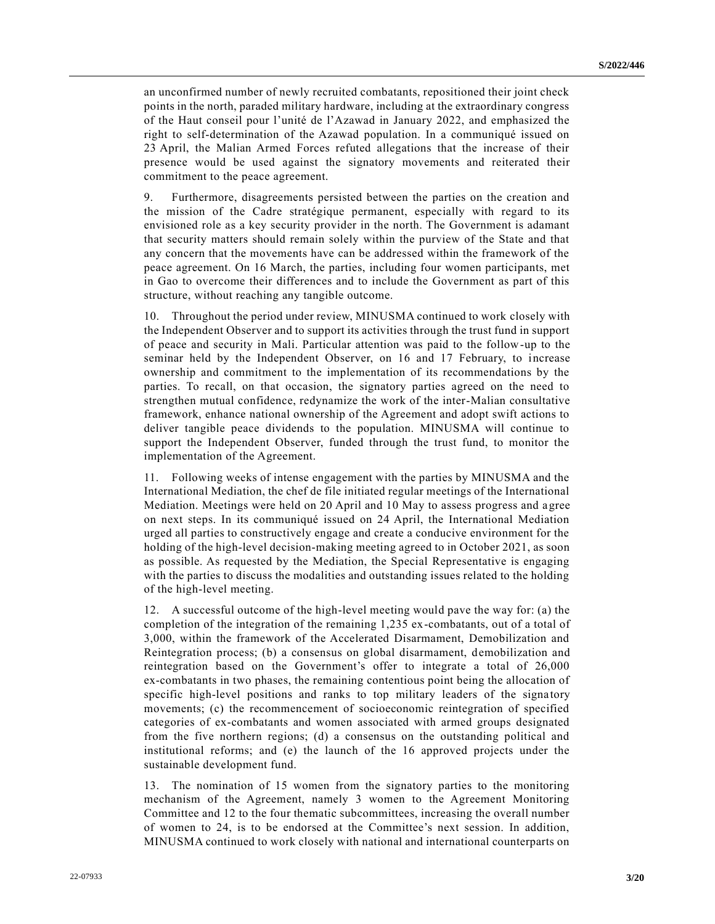an unconfirmed number of newly recruited combatants, repositioned their joint check points in the north, paraded military hardware, including at the extraordinary congress of the Haut conseil pour l'unité de l'Azawad in January 2022, and emphasized the right to self-determination of the Azawad population. In a communiqué issued on 23 April, the Malian Armed Forces refuted allegations that the increase of their presence would be used against the signatory movements and reiterated their commitment to the peace agreement.

9. Furthermore, disagreements persisted between the parties on the creation and the mission of the Cadre stratégique permanent, especially with regard to its envisioned role as a key security provider in the north. The Government is adamant that security matters should remain solely within the purview of the State and that any concern that the movements have can be addressed within the framework of the peace agreement. On 16 March, the parties, including four women participants, met in Gao to overcome their differences and to include the Government as part of this structure, without reaching any tangible outcome.

10. Throughout the period under review, MINUSMA continued to work closely with the Independent Observer and to support its activities through the trust fund in support of peace and security in Mali. Particular attention was paid to the follow-up to the seminar held by the Independent Observer, on 16 and 17 February, to increase ownership and commitment to the implementation of its recommendations by the parties. To recall, on that occasion, the signatory parties agreed on the need to strengthen mutual confidence, redynamize the work of the inter-Malian consultative framework, enhance national ownership of the Agreement and adopt swift actions to deliver tangible peace dividends to the population. MINUSMA will continue to support the Independent Observer, funded through the trust fund, to monitor the implementation of the Agreement.

11. Following weeks of intense engagement with the parties by MINUSMA and the International Mediation, the chef de file initiated regular meetings of the International Mediation. Meetings were held on 20 April and 10 May to assess progress and agree on next steps. In its communiqué issued on 24 April, the International Mediation urged all parties to constructively engage and create a conducive environment for the holding of the high-level decision-making meeting agreed to in October 2021, as soon as possible. As requested by the Mediation, the Special Representative is engaging with the parties to discuss the modalities and outstanding issues related to the holding of the high-level meeting.

12. A successful outcome of the high-level meeting would pave the way for: (a) the completion of the integration of the remaining 1,235 ex-combatants, out of a total of 3,000, within the framework of the Accelerated Disarmament, Demobilization and Reintegration process; (b) a consensus on global disarmament, demobilization and reintegration based on the Government's offer to integrate a total of 26,000 ex-combatants in two phases, the remaining contentious point being the allocation of specific high-level positions and ranks to top military leaders of the signatory movements; (c) the recommencement of socioeconomic reintegration of specified categories of ex-combatants and women associated with armed groups designated from the five northern regions; (d) a consensus on the outstanding political and institutional reforms; and (e) the launch of the 16 approved projects under the sustainable development fund.

13. The nomination of 15 women from the signatory parties to the monitoring mechanism of the Agreement, namely 3 women to the Agreement Monitoring Committee and 12 to the four thematic subcommittees, increasing the overall number of women to 24, is to be endorsed at the Committee's next session. In addition, MINUSMA continued to work closely with national and international counterparts on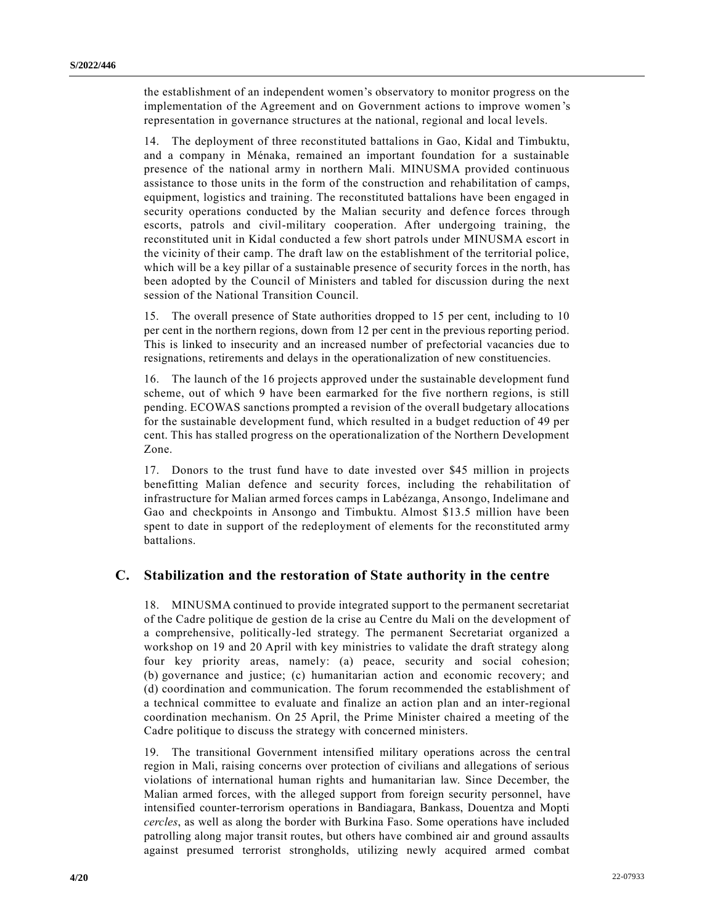the establishment of an independent women's observatory to monitor progress on the implementation of the Agreement and on Government actions to improve women 's representation in governance structures at the national, regional and local levels.

14. The deployment of three reconstituted battalions in Gao, Kidal and Timbuktu, and a company in Ménaka, remained an important foundation for a sustainable presence of the national army in northern Mali. MINUSMA provided continuous assistance to those units in the form of the construction and rehabilitation of camps, equipment, logistics and training. The reconstituted battalions have been engaged in security operations conducted by the Malian security and defence forces through escorts, patrols and civil-military cooperation. After undergoing training, the reconstituted unit in Kidal conducted a few short patrols under MINUSMA escort in the vicinity of their camp. The draft law on the establishment of the territorial police, which will be a key pillar of a sustainable presence of security forces in the north, has been adopted by the Council of Ministers and tabled for discussion during the next session of the National Transition Council.

15. The overall presence of State authorities dropped to 15 per cent, including to 10 per cent in the northern regions, down from 12 per cent in the previous reporting period. This is linked to insecurity and an increased number of prefectorial vacancies due to resignations, retirements and delays in the operationalization of new constituencies.

16. The launch of the 16 projects approved under the sustainable development fund scheme, out of which 9 have been earmarked for the five northern regions, is still pending. ECOWAS sanctions prompted a revision of the overall budgetary allocations for the sustainable development fund, which resulted in a budget reduction of 49 per cent. This has stalled progress on the operationalization of the Northern Development Zone.

17. Donors to the trust fund have to date invested over \$45 million in projects benefitting Malian defence and security forces, including the rehabilitation of infrastructure for Malian armed forces camps in Labézanga, Ansongo, Indelimane and Gao and checkpoints in Ansongo and Timbuktu. Almost \$13.5 million have been spent to date in support of the redeployment of elements for the reconstituted army battalions.

#### **C. Stabilization and the restoration of State authority in the centre**

18. MINUSMA continued to provide integrated support to the permanent secretariat of the Cadre politique de gestion de la crise au Centre du Mali on the development of a comprehensive, politically-led strategy. The permanent Secretariat organized a workshop on 19 and 20 April with key ministries to validate the draft strategy along four key priority areas, namely: (a) peace, security and social cohesion; (b) governance and justice; (c) humanitarian action and economic recovery; and (d) coordination and communication. The forum recommended the establishment of a technical committee to evaluate and finalize an action plan and an inter-regional coordination mechanism. On 25 April, the Prime Minister chaired a meeting of the Cadre politique to discuss the strategy with concerned ministers.

19. The transitional Government intensified military operations across the central region in Mali, raising concerns over protection of civilians and allegations of serious violations of international human rights and humanitarian law. Since December, the Malian armed forces, with the alleged support from foreign security personnel, have intensified counter-terrorism operations in Bandiagara, Bankass, Douentza and Mopti *cercles*, as well as along the border with Burkina Faso. Some operations have included patrolling along major transit routes, but others have combined air and ground assaults against presumed terrorist strongholds, utilizing newly acquired armed combat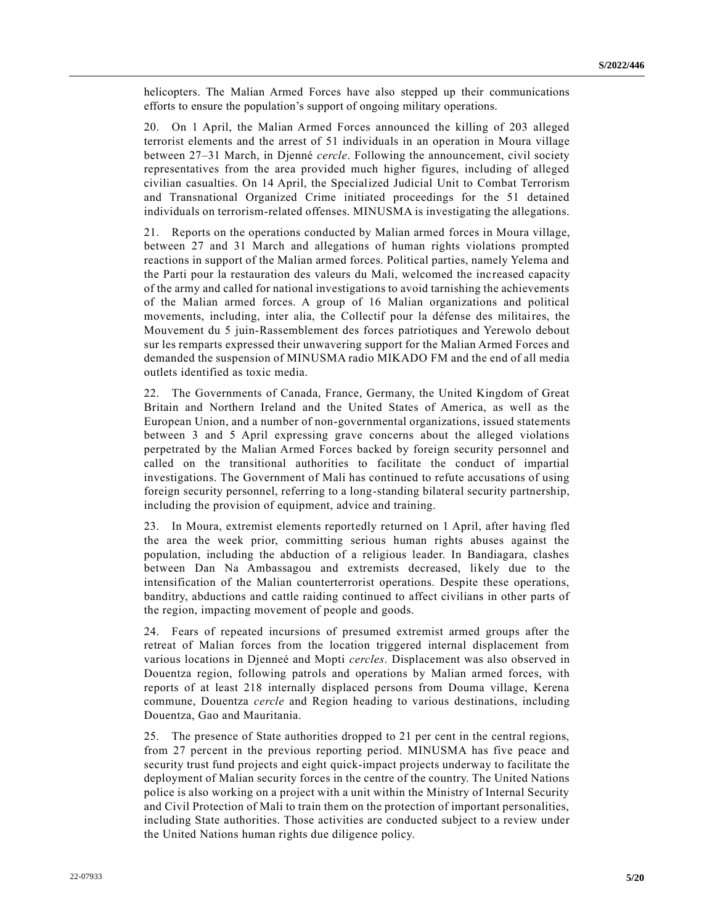helicopters. The Malian Armed Forces have also stepped up their communications efforts to ensure the population's support of ongoing military operations.

20. On 1 April, the Malian Armed Forces announced the killing of 203 alleged terrorist elements and the arrest of 51 individuals in an operation in Moura village between 27–31 March, in Djenné *cercle*. Following the announcement, civil society representatives from the area provided much higher figures, including of alleged civilian casualties. On 14 April, the Specialized Judicial Unit to Combat Terrorism and Transnational Organized Crime initiated proceedings for the 51 detained individuals on terrorism-related offenses. MINUSMA is investigating the allegations.

21. Reports on the operations conducted by Malian armed forces in Moura village, between 27 and 31 March and allegations of human rights violations prompted reactions in support of the Malian armed forces. Political parties, namely Yelema and the Parti pour la restauration des valeurs du Mali, welcomed the increased capacity of the army and called for national investigations to avoid tarnishing the achievements of the Malian armed forces. A group of 16 Malian organizations and political movements, including, inter alia, the Collectif pour la défense des militaires, the Mouvement du 5 juin-Rassemblement des forces patriotiques and Yerewolo debout sur les remparts expressed their unwavering support for the Malian Armed Forces and demanded the suspension of MINUSMA radio MIKADO FM and the end of all media outlets identified as toxic media.

22. The Governments of Canada, France, Germany, the United Kingdom of Great Britain and Northern Ireland and the United States of America, as well as the European Union, and a number of non-governmental organizations, issued statements between 3 and 5 April expressing grave concerns about the alleged violations perpetrated by the Malian Armed Forces backed by foreign security personnel and called on the transitional authorities to facilitate the conduct of impartial investigations. The Government of Mali has continued to refute accusations of using foreign security personnel, referring to a long-standing bilateral security partnership, including the provision of equipment, advice and training.

23. In Moura, extremist elements reportedly returned on 1 April, after having fled the area the week prior, committing serious human rights abuses against the population, including the abduction of a religious leader. In Bandiagara, clashes between Dan Na Ambassagou and extremists decreased, likely due to the intensification of the Malian counterterrorist operations. Despite these operations, banditry, abductions and cattle raiding continued to affect civilians in other parts of the region, impacting movement of people and goods.

24. Fears of repeated incursions of presumed extremist armed groups after the retreat of Malian forces from the location triggered internal displacement from various locations in Djenneé and Mopti *cercles*. Displacement was also observed in Douentza region, following patrols and operations by Malian armed forces, with reports of at least 218 internally displaced persons from Douma village, Kerena commune, Douentza *cercle* and Region heading to various destinations, including Douentza, Gao and Mauritania.

25. The presence of State authorities dropped to 21 per cent in the central regions, from 27 percent in the previous reporting period. MINUSMA has five peace and security trust fund projects and eight quick-impact projects underway to facilitate the deployment of Malian security forces in the centre of the country. The United Nations police is also working on a project with a unit within the Ministry of Internal Security and Civil Protection of Mali to train them on the protection of important personalities, including State authorities. Those activities are conducted subject to a review under the United Nations human rights due diligence policy.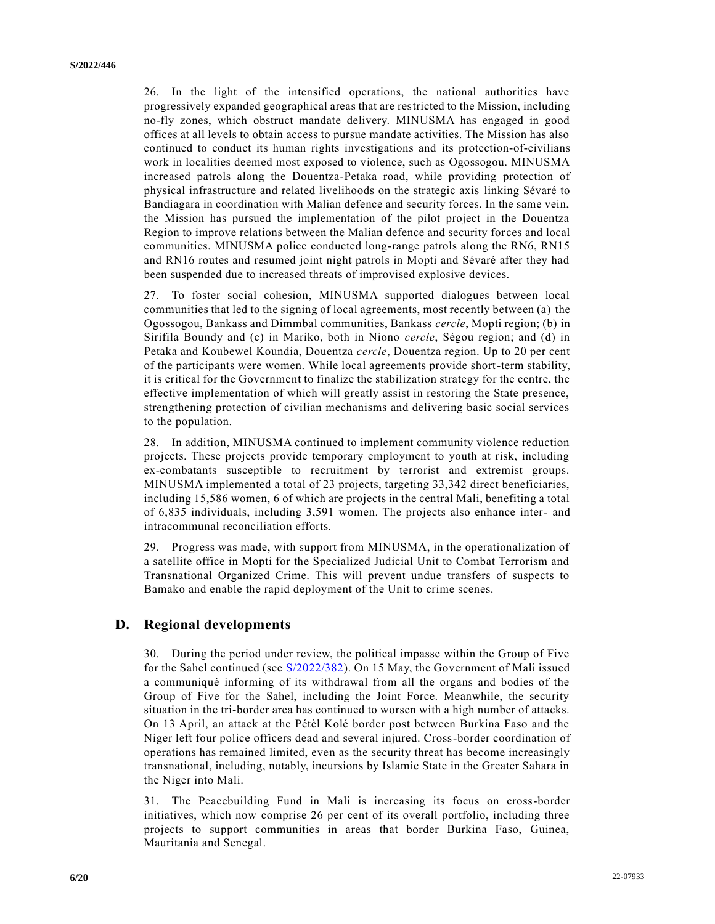26. In the light of the intensified operations, the national authorities have progressively expanded geographical areas that are restricted to the Mission, including no-fly zones, which obstruct mandate delivery. MINUSMA has engaged in good offices at all levels to obtain access to pursue mandate activities. The Mission has also continued to conduct its human rights investigations and its protection-of-civilians work in localities deemed most exposed to violence, such as Ogossogou. MINUSMA increased patrols along the Douentza-Petaka road, while providing protection of physical infrastructure and related livelihoods on the strategic axis linking Sévaré to Bandiagara in coordination with Malian defence and security forces. In the same vein, the Mission has pursued the implementation of the pilot project in the Douentza Region to improve relations between the Malian defence and security forces and local communities. MINUSMA police conducted long-range patrols along the RN6, RN15 and RN16 routes and resumed joint night patrols in Mopti and Sévaré after they had been suspended due to increased threats of improvised explosive devices.

27. To foster social cohesion, MINUSMA supported dialogues between local communities that led to the signing of local agreements, most recently between (a) the Ogossogou, Bankass and Dimmbal communities, Bankass *cercle*, Mopti region; (b) in Sirifila Boundy and (c) in Mariko, both in Niono *cercle*, Ségou region; and (d) in Petaka and Koubewel Koundia, Douentza *cercle*, Douentza region. Up to 20 per cent of the participants were women. While local agreements provide short-term stability, it is critical for the Government to finalize the stabilization strategy for the centre, the effective implementation of which will greatly assist in restoring the State presence, strengthening protection of civilian mechanisms and delivering basic social services to the population.

28. In addition, MINUSMA continued to implement community violence reduction projects. These projects provide temporary employment to youth at risk, including ex-combatants susceptible to recruitment by terrorist and extremist groups. MINUSMA implemented a total of 23 projects, targeting 33,342 direct beneficiaries, including 15,586 women, 6 of which are projects in the central Mali, benefiting a total of 6,835 individuals, including 3,591 women. The projects also enhance inter- and intracommunal reconciliation efforts.

29. Progress was made, with support from MINUSMA, in the operationalization of a satellite office in Mopti for the Specialized Judicial Unit to Combat Terrorism and Transnational Organized Crime. This will prevent undue transfers of suspects to Bamako and enable the rapid deployment of the Unit to crime scenes.

#### **D. Regional developments**

30. During the period under review, the political impasse within the Group of Five for the Sahel continued (see [S/2022/382\)](https://undocs.org/en/S/2022/382). On 15 May, the Government of Mali issued a communiqué informing of its withdrawal from all the organs and bodies of the Group of Five for the Sahel, including the Joint Force. Meanwhile, the security situation in the tri-border area has continued to worsen with a high number of attacks. On 13 April, an attack at the Pétèl Kolé border post between Burkina Faso and the Niger left four police officers dead and several injured. Cross-border coordination of operations has remained limited, even as the security threat has become increasingly transnational, including, notably, incursions by Islamic State in the Greater Sahara in the Niger into Mali.

31. The Peacebuilding Fund in Mali is increasing its focus on cross-border initiatives, which now comprise 26 per cent of its overall portfolio, including three projects to support communities in areas that border Burkina Faso, Guinea, Mauritania and Senegal.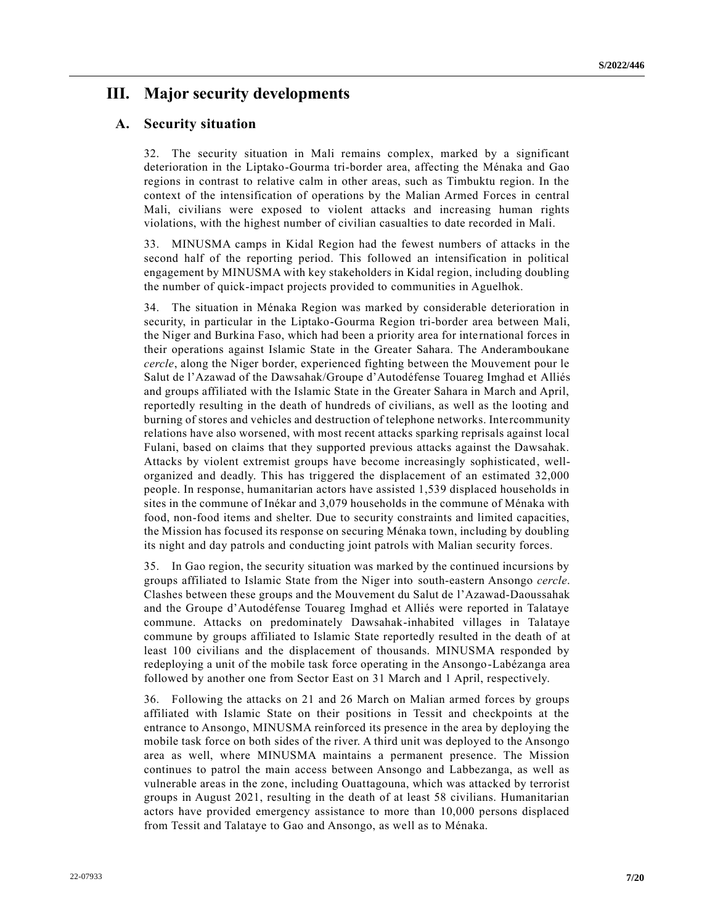# **III. Major security developments**

#### **A. Security situation**

32. The security situation in Mali remains complex, marked by a significant deterioration in the Liptako-Gourma tri-border area, affecting the Ménaka and Gao regions in contrast to relative calm in other areas, such as Timbuktu region. In the context of the intensification of operations by the Malian Armed Forces in central Mali, civilians were exposed to violent attacks and increasing human rights violations, with the highest number of civilian casualties to date recorded in Mali.

33. MINUSMA camps in Kidal Region had the fewest numbers of attacks in the second half of the reporting period. This followed an intensification in political engagement by MINUSMA with key stakeholders in Kidal region, including doubling the number of quick-impact projects provided to communities in Aguelhok.

34. The situation in Ménaka Region was marked by considerable deterioration in security, in particular in the Liptako-Gourma Region tri-border area between Mali, the Niger and Burkina Faso, which had been a priority area for inte rnational forces in their operations against Islamic State in the Greater Sahara. The Anderamboukane *cercle*, along the Niger border, experienced fighting between the Mouvement pour le Salut de l'Azawad of the Dawsahak/Groupe d'Autodéfense Touareg Imghad et Alliés and groups affiliated with the Islamic State in the Greater Sahara in March and April, reportedly resulting in the death of hundreds of civilians, as well as the looting and burning of stores and vehicles and destruction of telephone networks. Intercommunity relations have also worsened, with most recent attacks sparking reprisals against local Fulani, based on claims that they supported previous attacks against the Dawsahak. Attacks by violent extremist groups have become increasingly sophisticated, wellorganized and deadly. This has triggered the displacement of an estimated 32,000 people. In response, humanitarian actors have assisted 1,539 displaced households in sites in the commune of Inékar and 3,079 households in the commune of Ménaka with food, non-food items and shelter. Due to security constraints and limited capacities, the Mission has focused its response on securing Ménaka town, including by doubling its night and day patrols and conducting joint patrols with Malian security forces.

35. In Gao region, the security situation was marked by the continued incursions by groups affiliated to Islamic State from the Niger into south-eastern Ansongo *cercle*. Clashes between these groups and the Mouvement du Salut de l'Azawad-Daoussahak and the Groupe d'Autodéfense Touareg Imghad et Alliés were reported in Talataye commune. Attacks on predominately Dawsahak-inhabited villages in Talataye commune by groups affiliated to Islamic State reportedly resulted in the death of at least 100 civilians and the displacement of thousands. MINUSMA responded by redeploying a unit of the mobile task force operating in the Ansongo-Labézanga area followed by another one from Sector East on 31 March and 1 April, respectively.

36. Following the attacks on 21 and 26 March on Malian armed forces by groups affiliated with Islamic State on their positions in Tessit and checkpoints at the entrance to Ansongo, MINUSMA reinforced its presence in the area by deploying the mobile task force on both sides of the river. A third unit was deployed to the Ansongo area as well, where MINUSMA maintains a permanent presence. The Mission continues to patrol the main access between Ansongo and Labbezanga, as well as vulnerable areas in the zone, including Ouattagouna, which was attacked by terrorist groups in August 2021, resulting in the death of at least 58 civilians. Humanitarian actors have provided emergency assistance to more than 10,000 persons displaced from Tessit and Talataye to Gao and Ansongo, as well as to Ménaka.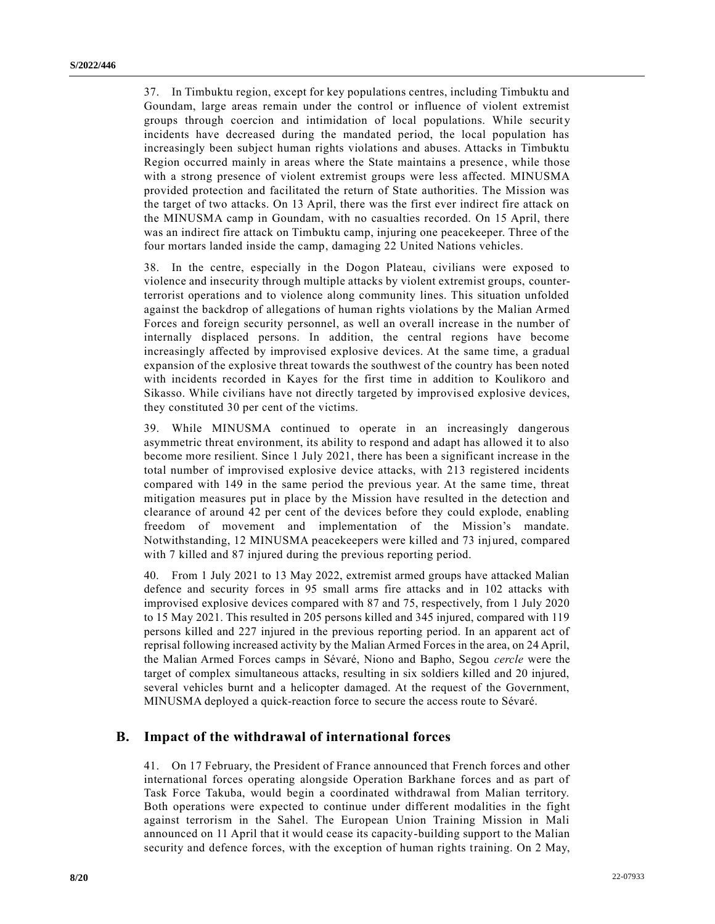37. In Timbuktu region, except for key populations centres, including Timbuktu and Goundam, large areas remain under the control or influence of violent extremist groups through coercion and intimidation of local populations. While security incidents have decreased during the mandated period, the local population has increasingly been subject human rights violations and abuses. Attacks in Timbuktu Region occurred mainly in areas where the State maintains a presence, while those with a strong presence of violent extremist groups were less affected. MINUSMA provided protection and facilitated the return of State authorities. The Mission was the target of two attacks. On 13 April, there was the first ever indirect fire attack on the MINUSMA camp in Goundam, with no casualties recorded. On 15 April, there was an indirect fire attack on Timbuktu camp, injuring one peacekeeper. Three of the four mortars landed inside the camp, damaging 22 United Nations vehicles.

38. In the centre, especially in the Dogon Plateau, civilians were exposed to violence and insecurity through multiple attacks by violent extremist groups, counterterrorist operations and to violence along community lines. This situation unfolded against the backdrop of allegations of human rights violations by the Malian Armed Forces and foreign security personnel, as well an overall increase in the number of internally displaced persons. In addition, the central regions have become increasingly affected by improvised explosive devices. At the same time, a gradual expansion of the explosive threat towards the southwest of the country has been noted with incidents recorded in Kayes for the first time in addition to Koulikoro and Sikasso. While civilians have not directly targeted by improvised explosive devices, they constituted 30 per cent of the victims.

39. While MINUSMA continued to operate in an increasingly dangerous asymmetric threat environment, its ability to respond and adapt has allowed it to also become more resilient. Since 1 July 2021, there has been a significant increase in the total number of improvised explosive device attacks, with 213 registered incidents compared with 149 in the same period the previous year. At the same time, threat mitigation measures put in place by the Mission have resulted in the detection and clearance of around 42 per cent of the devices before they could explode, enabling freedom of movement and implementation of the Mission's mandate. Notwithstanding, 12 MINUSMA peacekeepers were killed and 73 injured, compared with 7 killed and 87 injured during the previous reporting period.

40. From 1 July 2021 to 13 May 2022, extremist armed groups have attacked Malian defence and security forces in 95 small arms fire attacks and in 102 attacks with improvised explosive devices compared with 87 and 75, respectively, from 1 July 2020 to 15 May 2021. This resulted in 205 persons killed and 345 injured, compared with 119 persons killed and 227 injured in the previous reporting period. In an apparent act of reprisal following increased activity by the Malian Armed Forces in the area, on 24 April, the Malian Armed Forces camps in Sévaré, Niono and Bapho, Segou *cercle* were the target of complex simultaneous attacks, resulting in six soldiers killed and 20 injured, several vehicles burnt and a helicopter damaged. At the request of the Government, MINUSMA deployed a quick-reaction force to secure the access route to Sévaré.

#### **B. Impact of the withdrawal of international forces**

41. On 17 February, the President of France announced that French forces and other international forces operating alongside Operation Barkhane forces and as part of Task Force Takuba, would begin a coordinated withdrawal from Malian territory. Both operations were expected to continue under different modalities in the fight against terrorism in the Sahel. The European Union Training Mission in Mali announced on 11 April that it would cease its capacity-building support to the Malian security and defence forces, with the exception of human rights training. On 2 May,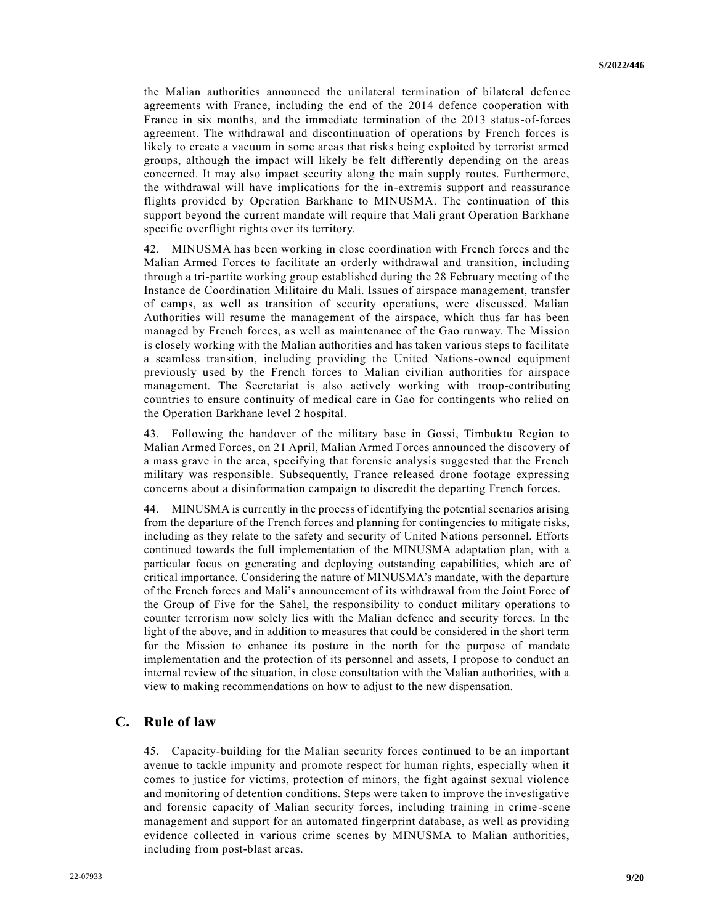the Malian authorities announced the unilateral termination of bilateral defen ce agreements with France, including the end of the 2014 defence cooperation with France in six months, and the immediate termination of the 2013 status-of-forces agreement. The withdrawal and discontinuation of operations by French forces is likely to create a vacuum in some areas that risks being exploited by terrorist armed groups, although the impact will likely be felt differently depending on the areas concerned. It may also impact security along the main supply routes. Furthermore, the withdrawal will have implications for the in-extremis support and reassurance flights provided by Operation Barkhane to MINUSMA. The continuation of this support beyond the current mandate will require that Mali grant Operation Barkhane specific overflight rights over its territory.

42. MINUSMA has been working in close coordination with French forces and the Malian Armed Forces to facilitate an orderly withdrawal and transition, including through a tri-partite working group established during the 28 February meeting of the Instance de Coordination Militaire du Mali. Issues of airspace management, transfer of camps, as well as transition of security operations, were discussed. Malian Authorities will resume the management of the airspace, which thus far has been managed by French forces, as well as maintenance of the Gao runway. The Mission is closely working with the Malian authorities and has taken various steps to facilitate a seamless transition, including providing the United Nations-owned equipment previously used by the French forces to Malian civilian authorities for airspace management. The Secretariat is also actively working with troop-contributing countries to ensure continuity of medical care in Gao for contingents who relied on the Operation Barkhane level 2 hospital.

43. Following the handover of the military base in Gossi, Timbuktu Region to Malian Armed Forces, on 21 April, Malian Armed Forces announced the discovery of a mass grave in the area, specifying that forensic analysis suggested that the French military was responsible. Subsequently, France released drone footage expressing concerns about a disinformation campaign to discredit the departing French forces.

44. MINUSMA is currently in the process of identifying the potential scenarios arising from the departure of the French forces and planning for contingencies to mitigate risks, including as they relate to the safety and security of United Nations personnel. Efforts continued towards the full implementation of the MINUSMA adaptation plan, with a particular focus on generating and deploying outstanding capabilities, which are of critical importance. Considering the nature of MINUSMA's mandate, with the departure of the French forces and Mali's announcement of its withdrawal from the Joint Force of the Group of Five for the Sahel, the responsibility to conduct military operations to counter terrorism now solely lies with the Malian defence and security forces. In the light of the above, and in addition to measures that could be considered in the short term for the Mission to enhance its posture in the north for the purpose of mandate implementation and the protection of its personnel and assets, I propose to conduct an internal review of the situation, in close consultation with the Malian authorities, with a view to making recommendations on how to adjust to the new dispensation.

#### **C. Rule of law**

45. Capacity-building for the Malian security forces continued to be an important avenue to tackle impunity and promote respect for human rights, especially when it comes to justice for victims, protection of minors, the fight against sexual violence and monitoring of detention conditions. Steps were taken to improve the investigative and forensic capacity of Malian security forces, including training in crime -scene management and support for an automated fingerprint database, as well as providing evidence collected in various crime scenes by MINUSMA to Malian authorities, including from post-blast areas.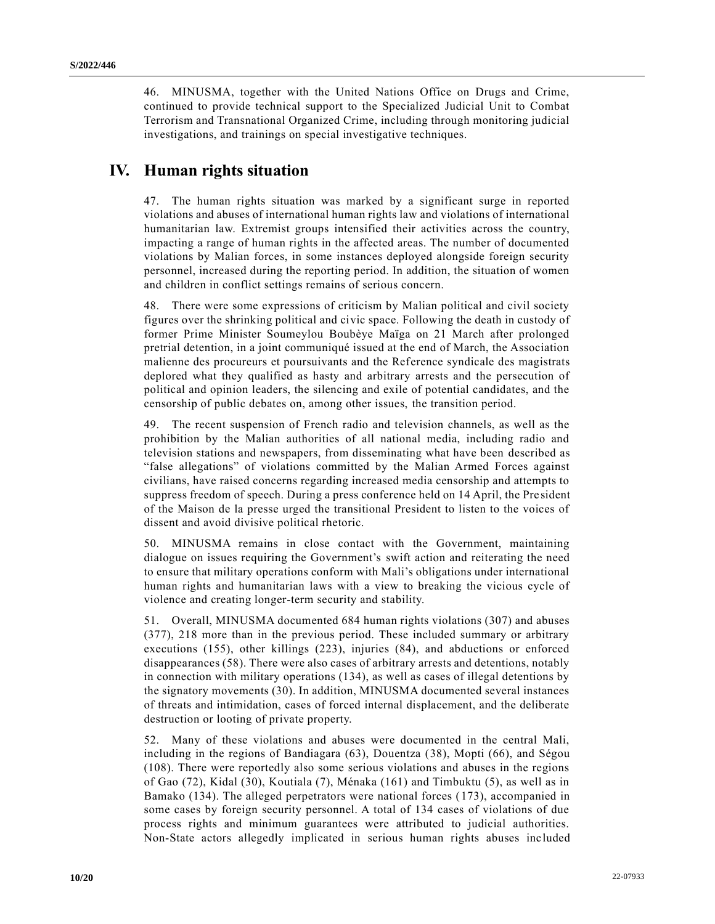46. MINUSMA, together with the United Nations Office on Drugs and Crime, continued to provide technical support to the Specialized Judicial Unit to Combat Terrorism and Transnational Organized Crime, including through monitoring judicial investigations, and trainings on special investigative techniques.

# **IV. Human rights situation**

47. The human rights situation was marked by a significant surge in reported violations and abuses of international human rights law and violations of international humanitarian law. Extremist groups intensified their activities across the country, impacting a range of human rights in the affected areas. The number of documented violations by Malian forces, in some instances deployed alongside foreign security personnel, increased during the reporting period. In addition, the situation of women and children in conflict settings remains of serious concern.

48. There were some expressions of criticism by Malian political and civil society figures over the shrinking political and civic space. Following the death in custody of former Prime Minister Soumeylou Boubèye Maïga on 21 March after prolonged pretrial detention, in a joint communiqué issued at the end of March, the Association malienne des procureurs et poursuivants and the Reference syndicale des magistrats deplored what they qualified as hasty and arbitrary arrests and the persecution of political and opinion leaders, the silencing and exile of potential candidates, and the censorship of public debates on, among other issues, the transition period.

49. The recent suspension of French radio and television channels, as well as the prohibition by the Malian authorities of all national media, including radio and television stations and newspapers, from disseminating what have been described as "false allegations" of violations committed by the Malian Armed Forces against civilians, have raised concerns regarding increased media censorship and attempts to suppress freedom of speech. During a press conference held on 14 April, the Pre sident of the Maison de la presse urged the transitional President to listen to the voices of dissent and avoid divisive political rhetoric.

50. MINUSMA remains in close contact with the Government, maintaining dialogue on issues requiring the Government's swift action and reiterating the need to ensure that military operations conform with Mali's obligations under international human rights and humanitarian laws with a view to breaking the vicious cycle of violence and creating longer-term security and stability.

51. Overall, MINUSMA documented 684 human rights violations (307) and abuses (377), 218 more than in the previous period. These included summary or arbitrary executions (155), other killings (223), injuries (84), and abductions or enforced disappearances (58). There were also cases of arbitrary arrests and detentions, notably in connection with military operations (134), as well as cases of illegal detentions by the signatory movements (30). In addition, MINUSMA documented several instances of threats and intimidation, cases of forced internal displacement, and the deliberate destruction or looting of private property.

52. Many of these violations and abuses were documented in the central Mali, including in the regions of Bandiagara (63), Douentza (38), Mopti (66), and Ségou (108). There were reportedly also some serious violations and abuses in the regions of Gao (72), Kidal (30), Koutiala (7), Ménaka (161) and Timbuktu (5), as well as in Bamako (134). The alleged perpetrators were national forces (173), accompanied in some cases by foreign security personnel. A total of 134 cases of violations of due process rights and minimum guarantees were attributed to judicial authorities. Non-State actors allegedly implicated in serious human rights abuses included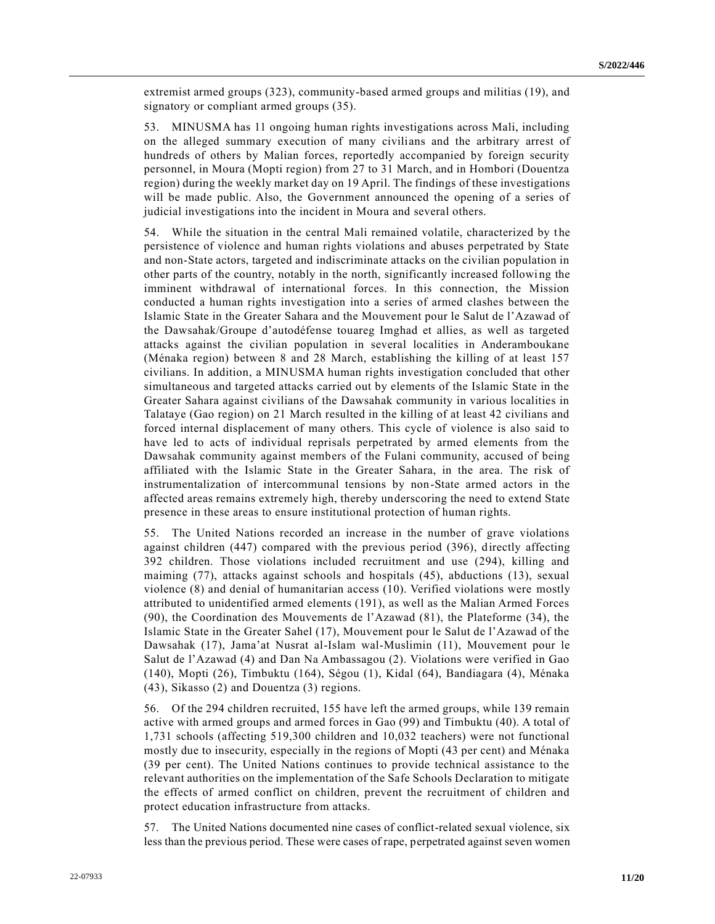extremist armed groups (323), community-based armed groups and militias (19), and signatory or compliant armed groups (35).

53. MINUSMA has 11 ongoing human rights investigations across Mali, including on the alleged summary execution of many civilians and the arbitrary arrest of hundreds of others by Malian forces, reportedly accompanied by foreign security personnel, in Moura (Mopti region) from 27 to 31 March, and in Hombori (Douentza region) during the weekly market day on 19 April. The findings of these investigations will be made public. Also, the Government announced the opening of a series of judicial investigations into the incident in Moura and several others.

54. While the situation in the central Mali remained volatile, characterized by t he persistence of violence and human rights violations and abuses perpetrated by State and non-State actors, targeted and indiscriminate attacks on the civilian population in other parts of the country, notably in the north, significantly increased following the imminent withdrawal of international forces. In this connection, the Mission conducted a human rights investigation into a series of armed clashes between the Islamic State in the Greater Sahara and the Mouvement pour le Salut de l'Azawad of the Dawsahak/Groupe d'autodéfense touareg Imghad et allies, as well as targeted attacks against the civilian population in several localities in Anderamboukane (Ménaka region) between 8 and 28 March, establishing the killing of at least 157 civilians. In addition, a MINUSMA human rights investigation concluded that other simultaneous and targeted attacks carried out by elements of the Islamic State in the Greater Sahara against civilians of the Dawsahak community in various localities in Talataye (Gao region) on 21 March resulted in the killing of at least 42 civilians and forced internal displacement of many others. This cycle of violence is also said to have led to acts of individual reprisals perpetrated by armed elements from the Dawsahak community against members of the Fulani community, accused of being affiliated with the Islamic State in the Greater Sahara, in the area. The risk of instrumentalization of intercommunal tensions by non-State armed actors in the affected areas remains extremely high, thereby underscoring the need to extend State presence in these areas to ensure institutional protection of human rights.

55. The United Nations recorded an increase in the number of grave violations against children (447) compared with the previous period (396), directly affecting 392 children. Those violations included recruitment and use (294), killing and maiming (77), attacks against schools and hospitals (45), abductions (13), sexual violence (8) and denial of humanitarian access (10). Verified violations were mostly attributed to unidentified armed elements (191), as well as the Malian Armed Forces (90), the Coordination des Mouvements de l'Azawad (81), the Plateforme (34), the Islamic State in the Greater Sahel (17), Mouvement pour le Salut de l'Azawad of the Dawsahak (17), Jama'at Nusrat al-Islam wal-Muslimin (11), Mouvement pour le Salut de l'Azawad (4) and Dan Na Ambassagou (2). Violations were verified in Gao (140), Mopti (26), Timbuktu (164), Ségou (1), Kidal (64), Bandiagara (4), Ménaka (43), Sikasso (2) and Douentza (3) regions.

56. Of the 294 children recruited, 155 have left the armed groups, while 139 remain active with armed groups and armed forces in Gao (99) and Timbuktu (40). A total of 1,731 schools (affecting 519,300 children and 10,032 teachers) were not functional mostly due to insecurity, especially in the regions of Mopti (43 per cent) and Ménaka (39 per cent). The United Nations continues to provide technical assistance to the relevant authorities on the implementation of the Safe Schools Declaration to mitigate the effects of armed conflict on children, prevent the recruitment of children and protect education infrastructure from attacks.

57. The United Nations documented nine cases of conflict-related sexual violence, six less than the previous period. These were cases of rape, perpetrated against seven women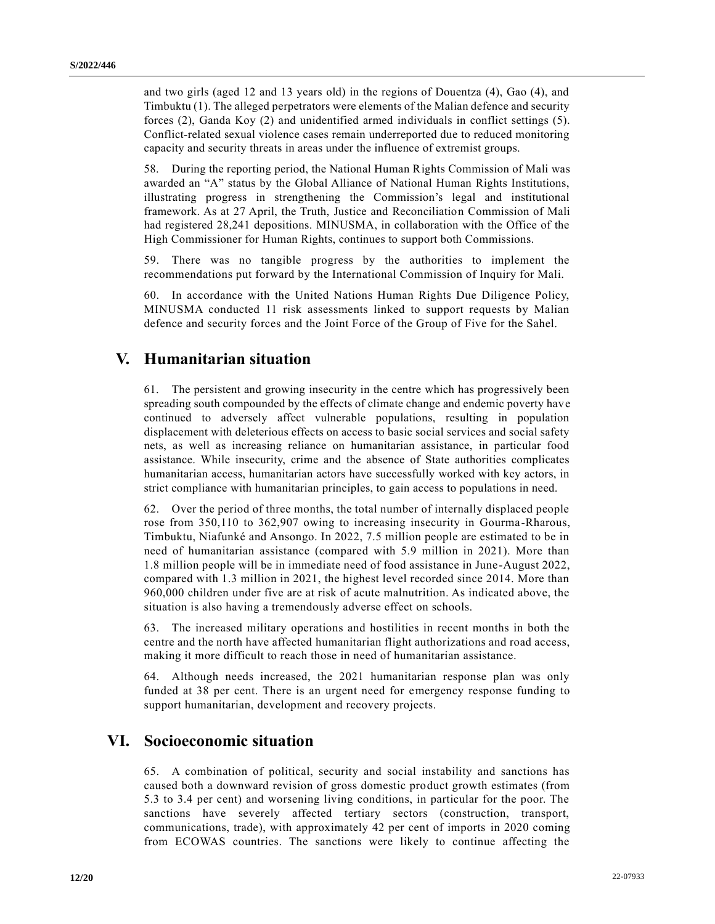and two girls (aged 12 and 13 years old) in the regions of Douentza (4), Gao (4), and Timbuktu (1). The alleged perpetrators were elements of the Malian defence and security forces (2), Ganda Koy (2) and unidentified armed individuals in conflict settings (5). Conflict-related sexual violence cases remain underreported due to reduced monitoring capacity and security threats in areas under the influence of extremist groups.

58. During the reporting period, the National Human Rights Commission of Mali was awarded an "A" status by the Global Alliance of National Human Rights Institutions, illustrating progress in strengthening the Commission's legal and institutional framework. As at 27 April, the Truth, Justice and Reconciliation Commission of Mali had registered 28,241 depositions. MINUSMA, in collaboration with the Office of the High Commissioner for Human Rights, continues to support both Commissions.

59. There was no tangible progress by the authorities to implement the recommendations put forward by the International Commission of Inquiry for Mali.

60. In accordance with the United Nations Human Rights Due Diligence Policy, MINUSMA conducted 11 risk assessments linked to support requests by Malian defence and security forces and the Joint Force of the Group of Five for the Sahel.

## **V. Humanitarian situation**

61. The persistent and growing insecurity in the centre which has progressively been spreading south compounded by the effects of climate change and endemic poverty have continued to adversely affect vulnerable populations, resulting in population displacement with deleterious effects on access to basic social services and social safety nets, as well as increasing reliance on humanitarian assistance, in particular food assistance. While insecurity, crime and the absence of State authorities complicates humanitarian access, humanitarian actors have successfully worked with key actors, in strict compliance with humanitarian principles, to gain access to populations in need.

62. Over the period of three months, the total number of internally displaced people rose from 350,110 to 362,907 owing to increasing insecurity in Gourma-Rharous, Timbuktu, Niafunké and Ansongo. In 2022, 7.5 million people are estimated to be in need of humanitarian assistance (compared with 5.9 million in 2021). More than 1.8 million people will be in immediate need of food assistance in June-August 2022, compared with 1.3 million in 2021, the highest level recorded since 2014. More than 960,000 children under five are at risk of acute malnutrition. As indicated above, the situation is also having a tremendously adverse effect on schools.

63. The increased military operations and hostilities in recent months in both the centre and the north have affected humanitarian flight authorizations and road access, making it more difficult to reach those in need of humanitarian assistance.

64. Although needs increased, the 2021 humanitarian response plan was only funded at 38 per cent. There is an urgent need for emergency response funding to support humanitarian, development and recovery projects.

## **VI. Socioeconomic situation**

65. A combination of political, security and social instability and sanctions has caused both a downward revision of gross domestic product growth estimates (from 5.3 to 3.4 per cent) and worsening living conditions, in particular for the poor. The sanctions have severely affected tertiary sectors (construction, transport, communications, trade), with approximately 42 per cent of imports in 2020 coming from ECOWAS countries. The sanctions were likely to continue affecting the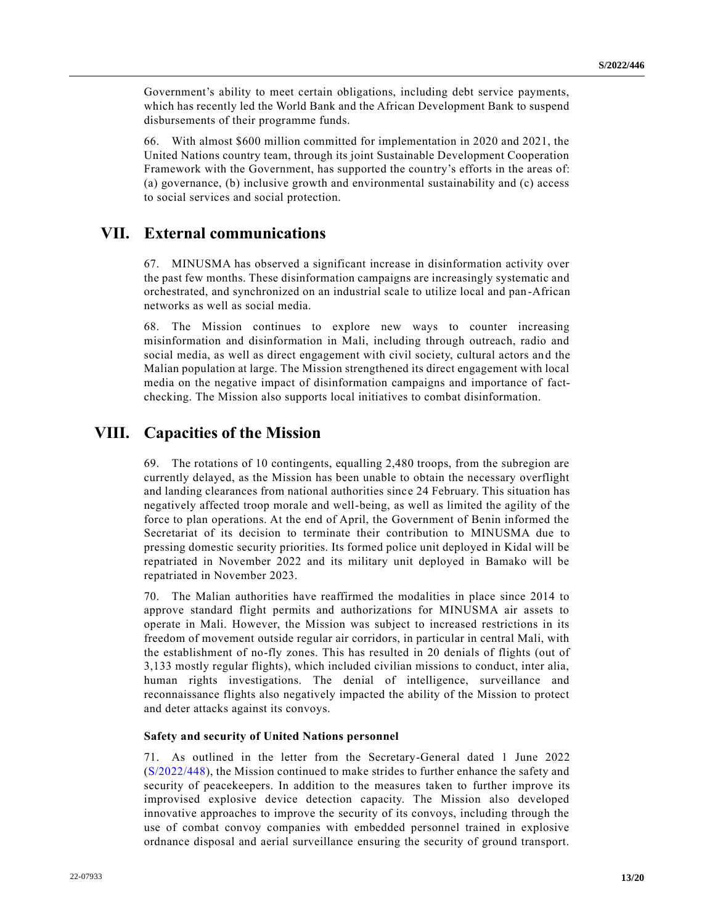Government's ability to meet certain obligations, including debt service payments, which has recently led the World Bank and the African Development Bank to suspend disbursements of their programme funds.

66. With almost \$600 million committed for implementation in 2020 and 2021, the United Nations country team, through its joint Sustainable Development Cooperation Framework with the Government, has supported the country's efforts in the areas of: (a) governance, (b) inclusive growth and environmental sustainability and (c) access to social services and social protection.

## **VII. External communications**

67. MINUSMA has observed a significant increase in disinformation activity over the past few months. These disinformation campaigns are increasingly systematic and orchestrated, and synchronized on an industrial scale to utilize local and pan -African networks as well as social media.

68. The Mission continues to explore new ways to counter increasing misinformation and disinformation in Mali, including through outreach, radio and social media, as well as direct engagement with civil society, cultural actors an d the Malian population at large. The Mission strengthened its direct engagement with local media on the negative impact of disinformation campaigns and importance of factchecking. The Mission also supports local initiatives to combat disinformation.

## **VIII. Capacities of the Mission**

69. The rotations of 10 contingents, equalling 2,480 troops, from the subregion are currently delayed, as the Mission has been unable to obtain the necessary overflight and landing clearances from national authorities since 24 February. This situation has negatively affected troop morale and well-being, as well as limited the agility of the force to plan operations. At the end of April, the Government of Benin informed the Secretariat of its decision to terminate their contribution to MINUSMA due to pressing domestic security priorities. Its formed police unit deployed in Kidal will be repatriated in November 2022 and its military unit deployed in Bamako will be repatriated in November 2023.

70. The Malian authorities have reaffirmed the modalities in place since 2014 to approve standard flight permits and authorizations for MINUSMA air assets to operate in Mali. However, the Mission was subject to increased restrictions in its freedom of movement outside regular air corridors, in particular in central Mali, with the establishment of no-fly zones. This has resulted in 20 denials of flights (out of 3,133 mostly regular flights), which included civilian missions to conduct, inter alia, human rights investigations. The denial of intelligence, surveillance and reconnaissance flights also negatively impacted the ability of the Mission to protect and deter attacks against its convoys.

#### **Safety and security of United Nations personnel**

71. As outlined in the letter from the Secretary-General dated 1 June 2022 [\(S/2022/448\)](https://undocs.org/en/S/2022/448), the Mission continued to make strides to further enhance the safety and security of peacekeepers. In addition to the measures taken to further improve its improvised explosive device detection capacity. The Mission also developed innovative approaches to improve the security of its convoys, including through the use of combat convoy companies with embedded personnel trained in explosive ordnance disposal and aerial surveillance ensuring the security of ground transport.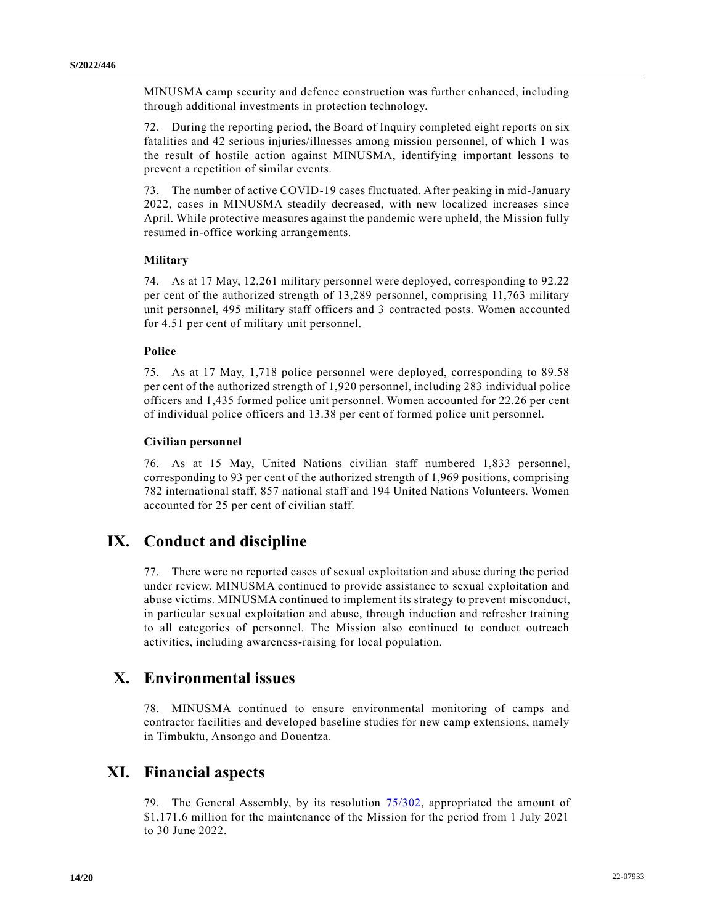MINUSMA camp security and defence construction was further enhanced, including through additional investments in protection technology.

72. During the reporting period, the Board of Inquiry completed eight reports on six fatalities and 42 serious injuries/illnesses among mission personnel, of which 1 was the result of hostile action against MINUSMA, identifying important lessons to prevent a repetition of similar events.

73. The number of active COVID-19 cases fluctuated. After peaking in mid-January 2022, cases in MINUSMA steadily decreased, with new localized increases since April. While protective measures against the pandemic were upheld, the Mission fully resumed in-office working arrangements.

#### **Military**

74. As at 17 May, 12,261 military personnel were deployed, corresponding to 92.22 per cent of the authorized strength of 13,289 personnel, comprising 11,763 military unit personnel, 495 military staff officers and 3 contracted posts. Women accounted for 4.51 per cent of military unit personnel.

#### **Police**

75. As at 17 May, 1,718 police personnel were deployed, corresponding to 89.58 per cent of the authorized strength of 1,920 personnel, including 283 individual police officers and 1,435 formed police unit personnel. Women accounted for 22.26 per cent of individual police officers and 13.38 per cent of formed police unit personnel.

#### **Civilian personnel**

76. As at 15 May, United Nations civilian staff numbered 1,833 personnel, corresponding to 93 per cent of the authorized strength of 1,969 positions, comprising 782 international staff, 857 national staff and 194 United Nations Volunteers. Women accounted for 25 per cent of civilian staff.

## **IX. Conduct and discipline**

77. There were no reported cases of sexual exploitation and abuse during the period under review. MINUSMA continued to provide assistance to sexual exploitation and abuse victims. MINUSMA continued to implement its strategy to prevent misconduct, in particular sexual exploitation and abuse, through induction and refresher training to all categories of personnel. The Mission also continued to conduct outreach activities, including awareness-raising for local population.

#### **X. Environmental issues**

78. MINUSMA continued to ensure environmental monitoring of camps and contractor facilities and developed baseline studies for new camp extensions, namely in Timbuktu, Ansongo and Douentza.

## **XI. Financial aspects**

79. The General Assembly, by its resolution [75/302,](https://undocs.org/en/A/RES/75/302) appropriated the amount of \$1,171.6 million for the maintenance of the Mission for the period from 1 July 2021 to 30 June 2022.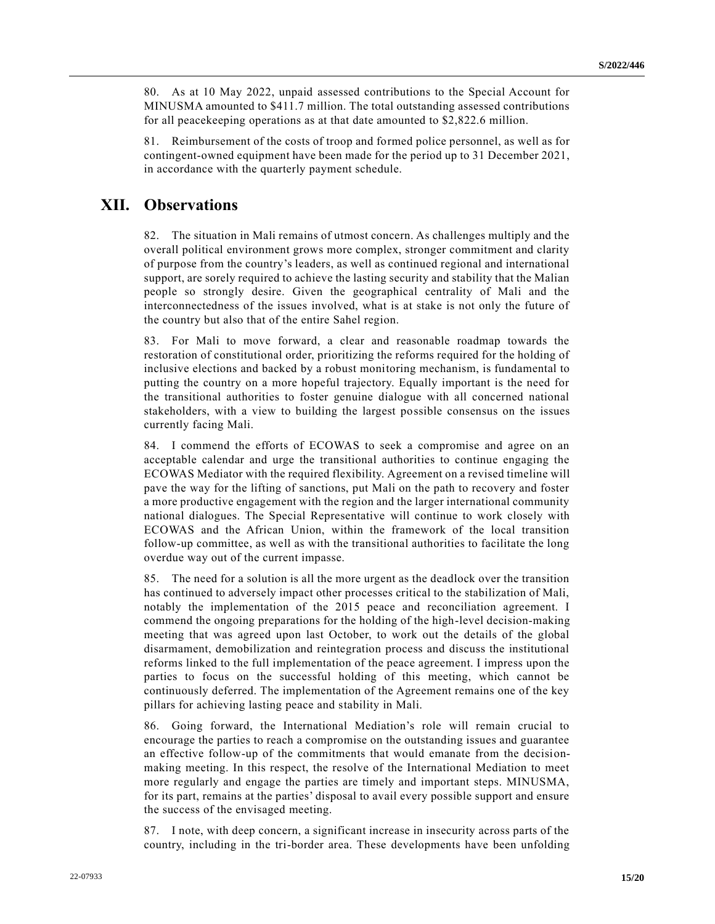80. As at 10 May 2022, unpaid assessed contributions to the Special Account for MINUSMA amounted to \$411.7 million. The total outstanding assessed contributions for all peacekeeping operations as at that date amounted to \$2,822.6 million.

81. Reimbursement of the costs of troop and formed police personnel, as well as for contingent-owned equipment have been made for the period up to 31 December 2021, in accordance with the quarterly payment schedule.

# **XII. Observations**

82. The situation in Mali remains of utmost concern. As challenges multiply and the overall political environment grows more complex, stronger commitment and clarity of purpose from the country's leaders, as well as continued regional and international support, are sorely required to achieve the lasting security and stability that the Malian people so strongly desire. Given the geographical centrality of Mali and the interconnectedness of the issues involved, what is at stake is not only the future of the country but also that of the entire Sahel region.

83. For Mali to move forward, a clear and reasonable roadmap towards the restoration of constitutional order, prioritizing the reforms required for the holding of inclusive elections and backed by a robust monitoring mechanism, is fundamental to putting the country on a more hopeful trajectory. Equally important is the need for the transitional authorities to foster genuine dialogue with all concerned national stakeholders, with a view to building the largest possible consensus on the issues currently facing Mali.

84. I commend the efforts of ECOWAS to seek a compromise and agree on an acceptable calendar and urge the transitional authorities to continue engaging the ECOWAS Mediator with the required flexibility. Agreement on a revised timeline will pave the way for the lifting of sanctions, put Mali on the path to recovery and foster a more productive engagement with the region and the larger international community national dialogues. The Special Representative will continue to work closely with ECOWAS and the African Union, within the framework of the local transition follow-up committee, as well as with the transitional authorities to facilitate the long overdue way out of the current impasse.

85. The need for a solution is all the more urgent as the deadlock over the transition has continued to adversely impact other processes critical to the stabilization of Mali, notably the implementation of the 2015 peace and reconciliation agreement. I commend the ongoing preparations for the holding of the high-level decision-making meeting that was agreed upon last October, to work out the details of the global disarmament, demobilization and reintegration process and discuss the institutional reforms linked to the full implementation of the peace agreement. I impress upon the parties to focus on the successful holding of this meeting, which cannot be continuously deferred. The implementation of the Agreement remains one of the key pillars for achieving lasting peace and stability in Mali.

86. Going forward, the International Mediation's role will remain crucial to encourage the parties to reach a compromise on the outstanding issues and guarantee an effective follow-up of the commitments that would emanate from the decisionmaking meeting. In this respect, the resolve of the International Mediation to meet more regularly and engage the parties are timely and important steps. MINUSMA, for its part, remains at the parties' disposal to avail every possible support and ensure the success of the envisaged meeting.

87. I note, with deep concern, a significant increase in insecurity across parts of the country, including in the tri-border area. These developments have been unfolding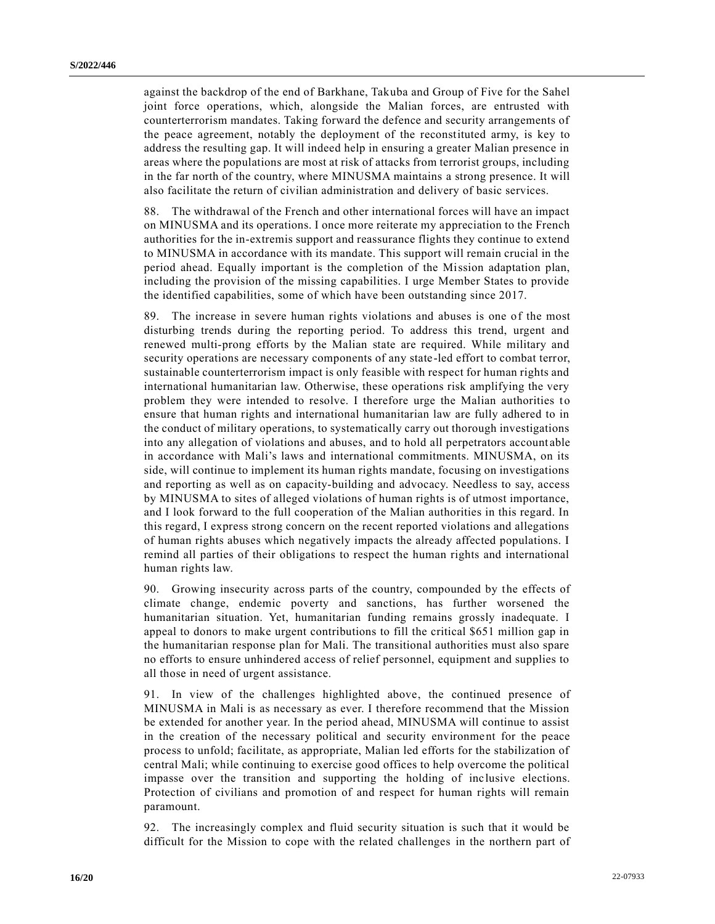against the backdrop of the end of Barkhane, Takuba and Group of Five for the Sahel joint force operations, which, alongside the Malian forces, are entrusted with counterterrorism mandates. Taking forward the defence and security arrangements of the peace agreement, notably the deployment of the reconstituted army, is key to address the resulting gap. It will indeed help in ensuring a greater Malian presence in areas where the populations are most at risk of attacks from terrorist groups, including in the far north of the country, where MINUSMA maintains a strong presence. It will also facilitate the return of civilian administration and delivery of basic services.

88. The withdrawal of the French and other international forces will have an impact on MINUSMA and its operations. I once more reiterate my appreciation to the French authorities for the in-extremis support and reassurance flights they continue to extend to MINUSMA in accordance with its mandate. This support will remain crucial in the period ahead. Equally important is the completion of the Mission adaptation plan, including the provision of the missing capabilities. I urge Member States to provide the identified capabilities, some of which have been outstanding since 2017.

89. The increase in severe human rights violations and abuses is one of the most disturbing trends during the reporting period. To address this trend, urgent and renewed multi-prong efforts by the Malian state are required. While military and security operations are necessary components of any state-led effort to combat terror, sustainable counterterrorism impact is only feasible with respect for human rights and international humanitarian law. Otherwise, these operations risk amplifying the very problem they were intended to resolve. I therefore urge the Malian authorities to ensure that human rights and international humanitarian law are fully adhered to in the conduct of military operations, to systematically carry out thorough investigations into any allegation of violations and abuses, and to hold all perpetrators account able in accordance with Mali's laws and international commitments. MINUSMA, on its side, will continue to implement its human rights mandate, focusing on investigations and reporting as well as on capacity-building and advocacy. Needless to say, access by MINUSMA to sites of alleged violations of human rights is of utmost importance, and I look forward to the full cooperation of the Malian authorities in this regard. In this regard, I express strong concern on the recent reported violations and allegations of human rights abuses which negatively impacts the already affected populations. I remind all parties of their obligations to respect the human rights and international human rights law.

90. Growing insecurity across parts of the country, compounded by the effects of climate change, endemic poverty and sanctions, has further worsened the humanitarian situation. Yet, humanitarian funding remains grossly inadequate. I appeal to donors to make urgent contributions to fill the critical \$651 million gap in the humanitarian response plan for Mali. The transitional authorities must also spare no efforts to ensure unhindered access of relief personnel, equipment and supplies to all those in need of urgent assistance.

91. In view of the challenges highlighted above, the continued presence of MINUSMA in Mali is as necessary as ever. I therefore recommend that the Mission be extended for another year. In the period ahead, MINUSMA will continue to assist in the creation of the necessary political and security environment for the peace process to unfold; facilitate, as appropriate, Malian led efforts for the stabilization of central Mali; while continuing to exercise good offices to help overcome the political impasse over the transition and supporting the holding of inclusive elections. Protection of civilians and promotion of and respect for human rights will remain paramount.

92. The increasingly complex and fluid security situation is such that it would be difficult for the Mission to cope with the related challenges in the northern part of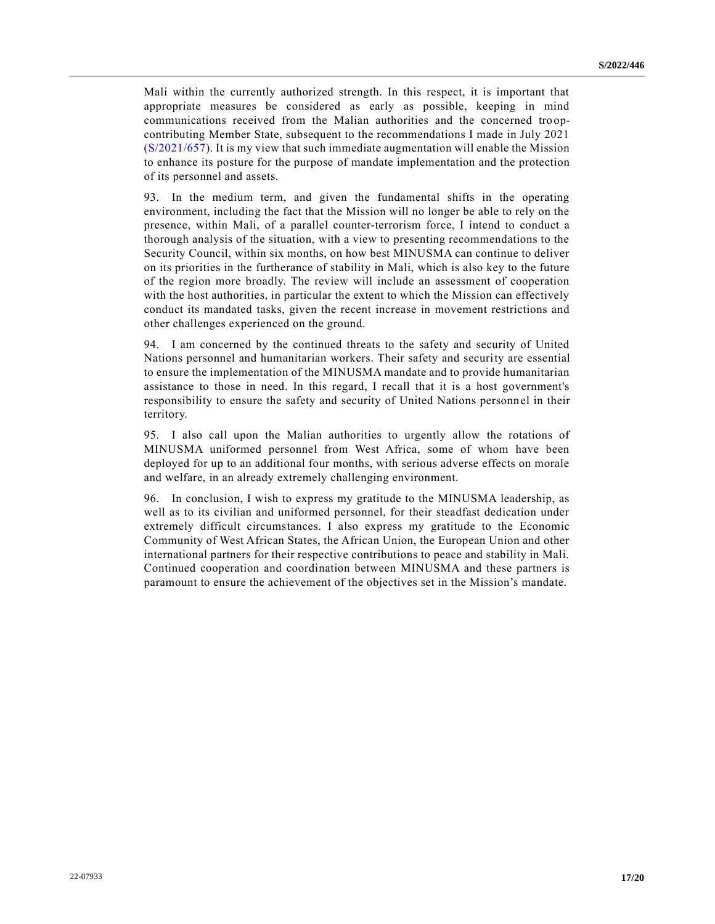Mali within the currently authorized strength. In this respect, it is important that appropriate measures be considered as early as possible, keeping in mind communications received from the Malian authorities and the concerned troopcontributing Member State, subsequent to the recommendations I made in July 2021 [\(S/2021/657\)](https://undocs.org/en/S/2021/657). It is my view that such immediate augmentation will enable the Mission to enhance its posture for the purpose of mandate implementation and the protection of its personnel and assets.

93. In the medium term, and given the fundamental shifts in the operating environment, including the fact that the Mission will no longer be able to rely on the presence, within Mali, of a parallel counter-terrorism force, I intend to conduct a thorough analysis of the situation, with a view to presenting recommendations to the Security Council, within six months, on how best MINUSMA can continue to deliver on its priorities in the furtherance of stability in Mali, which is also key to the future of the region more broadly. The review will include an assessment of cooperation with the host authorities, in particular the extent to which the Mission can effectively conduct its mandated tasks, given the recent increase in movement restrictions and other challenges experienced on the ground.

94. I am concerned by the continued threats to the safety and security of United Nations personnel and humanitarian workers. Their safety and security are essential to ensure the implementation of the MINUSMA mandate and to provide humanitarian assistance to those in need. In this regard, I recall that it is a host government's responsibility to ensure the safety and security of United Nations personn el in their territory.

95. I also call upon the Malian authorities to urgently allow the rotations of MINUSMA uniformed personnel from West Africa, some of whom have been deployed for up to an additional four months, with serious adverse effects on morale and welfare, in an already extremely challenging environment.

96. In conclusion, I wish to express my gratitude to the MINUSMA leadership, as well as to its civilian and uniformed personnel, for their steadfast dedication under extremely difficult circumstances. I also express my gratitude to the Economic Community of West African States, the African Union, the European Union and other international partners for their respective contributions to peace and stability in Mali. Continued cooperation and coordination between MINUSMA and these partners is paramount to ensure the achievement of the objectives set in the Mission's mandate.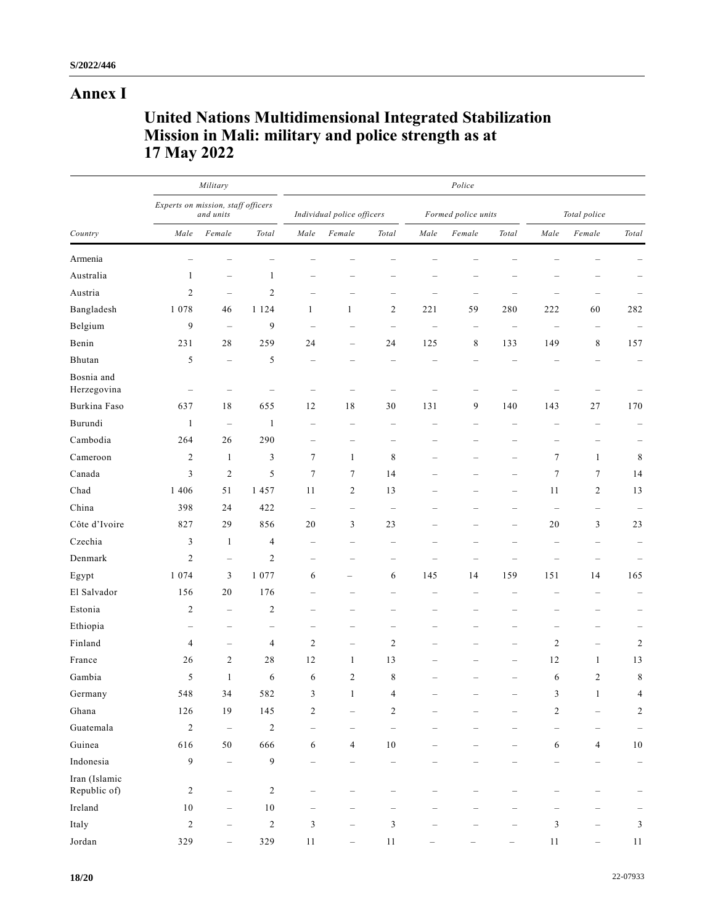# **Annex I**

# **United Nations Multidimensional Integrated Stabilization Mission in Mali: military and police strength as at 17 May 2022**

| Country                       | Military<br>Experts on mission, staff officers<br>and units |                          |                          | Police                     |                                                                           |                                                                           |                                   |                          |                          |                                   |                          |                          |  |
|-------------------------------|-------------------------------------------------------------|--------------------------|--------------------------|----------------------------|---------------------------------------------------------------------------|---------------------------------------------------------------------------|-----------------------------------|--------------------------|--------------------------|-----------------------------------|--------------------------|--------------------------|--|
|                               |                                                             |                          |                          | Individual police officers |                                                                           |                                                                           | Formed police units               |                          |                          | Total police                      |                          |                          |  |
|                               | Male                                                        | Female                   | Total                    | Male                       | Female                                                                    | Total                                                                     | Male                              | Female                   | Total                    | Male                              | Female                   | Total                    |  |
| Armenia                       |                                                             |                          |                          |                            |                                                                           |                                                                           |                                   |                          |                          |                                   |                          |                          |  |
| Australia                     | 1                                                           | $\overline{\phantom{0}}$ | 1                        |                            |                                                                           |                                                                           |                                   |                          |                          |                                   |                          |                          |  |
| Austria                       | $\overline{c}$                                              | $\overline{\phantom{0}}$ | $\mathfrak{2}$           |                            |                                                                           | -                                                                         |                                   | -                        |                          | -                                 | -                        |                          |  |
| Bangladesh                    | 1 0 7 8                                                     | 46                       | 1 1 2 4                  | $\mathbf{1}$               | $\mathbf{1}$                                                              | 2                                                                         | 221                               | 59                       | 280                      | 222                               | 60                       | 282                      |  |
| Belgium                       | 9                                                           | $\qquad \qquad -$        | 9                        | ÷                          | -                                                                         | $\hspace{1.0cm} \rule{1.5cm}{0.15cm} \hspace{1.0cm} \rule{1.5cm}{0.15cm}$ | $\hspace{1.0cm} - \hspace{1.0cm}$ | $\qquad \qquad -$        | $\overline{\phantom{a}}$ | $\hspace{1.0cm} - \hspace{1.0cm}$ | $\overline{\phantom{0}}$ |                          |  |
| Benin                         | 231                                                         | 28                       | 259                      | 24                         | $\overline{\phantom{0}}$                                                  | 24                                                                        | 125                               | 8                        | 133                      | 149                               | 8                        | 157                      |  |
| Bhutan                        | 5                                                           | $\qquad \qquad -$        | 5                        |                            |                                                                           | L.                                                                        |                                   |                          |                          |                                   |                          | $\overline{\phantom{a}}$ |  |
| Bosnia and<br>Herzegovina     |                                                             |                          |                          |                            |                                                                           |                                                                           |                                   |                          |                          |                                   |                          |                          |  |
| Burkina Faso                  | 637                                                         | 18                       | 655                      | 12                         | 18                                                                        | 30                                                                        | 131                               | 9                        | 140                      | 143                               | 27                       | 170                      |  |
| Burundi                       | $\mathbf{1}$                                                | $\qquad \qquad -$        | 1                        | $\overline{\phantom{0}}$   | $\hspace{1.0cm} \rule{1.5cm}{0.15cm} \hspace{1.0cm} \rule{1.5cm}{0.15cm}$ | $\overline{\phantom{0}}$                                                  | -                                 |                          | -                        | ÷                                 | $\qquad \qquad -$        | $\qquad \qquad -$        |  |
| Cambodia                      | 264                                                         | 26                       | 290                      | $\qquad \qquad -$          | $\overline{\phantom{m}}$                                                  |                                                                           | -                                 | -                        | -                        | -                                 | -                        |                          |  |
| Cameroon                      | $\overline{c}$                                              | $\mathbf{1}$             | 3                        | 7                          | $\mathbf{1}$                                                              | $\,$ 8 $\,$                                                               | -                                 | -                        | $\overline{\phantom{0}}$ | 7                                 | $\mathbf{1}$             | 8                        |  |
| Canada                        | 3                                                           | 2                        | 5                        | 7                          | 7                                                                         | 14                                                                        |                                   |                          | $\overline{\phantom{0}}$ | $\tau$                            | 7                        | 14                       |  |
| Chad                          | 1 4 0 6                                                     | 51                       | 1 457                    | 11                         | $\mathbf{2}$                                                              | 13                                                                        |                                   |                          | $\overline{\phantom{0}}$ | 11                                | 2                        | 13                       |  |
| China                         | 398                                                         | 24                       | 422                      | $\overline{\phantom{a}}$   | $\overline{\phantom{0}}$                                                  | $\hspace{1.0cm} \rule{1.5cm}{0.15cm} \hspace{1.0cm} \rule{1.5cm}{0.15cm}$ |                                   |                          |                          | $\qquad \qquad -$                 | $\qquad \qquad -$        |                          |  |
| Côte d'Ivoire                 | 827                                                         | 29                       | 856                      | 20                         | 3                                                                         | 23                                                                        |                                   |                          | $\overline{\phantom{0}}$ | 20                                | 3                        | 23                       |  |
| Czechia                       | 3                                                           | $\mathbf{1}$             | 4                        | $\overline{\phantom{0}}$   | $\overline{\phantom{a}}$                                                  | $\overline{\phantom{0}}$                                                  |                                   | $\overline{\phantom{0}}$ |                          | $\overline{\phantom{a}}$          | $\overline{\phantom{0}}$ |                          |  |
| Denmark                       | $\overline{c}$                                              | $\overline{\phantom{0}}$ | $\mathbf{2}$             | $\overline{\phantom{0}}$   | -                                                                         | -                                                                         |                                   | -                        |                          | -                                 | -                        |                          |  |
| Egypt                         | 1 0 7 4                                                     | 3                        | 1 0 7 7                  | 6                          | -                                                                         | 6                                                                         | 145                               | 14                       | 159                      | 151                               | 14                       | 165                      |  |
| El Salvador                   | 156                                                         | 20                       | 176                      | $\overline{\phantom{a}}$   | $\overline{\phantom{a}}$                                                  | L.                                                                        | $\overline{\phantom{a}}$          | $\overline{\phantom{a}}$ |                          | ÷                                 | $\overline{\phantom{0}}$ |                          |  |
| Estonia                       | $\overline{c}$                                              | $\overline{\phantom{0}}$ | 2                        | -                          | -                                                                         | $\overline{\phantom{0}}$                                                  | -                                 | -                        |                          | -                                 | $\overline{\phantom{0}}$ | -                        |  |
| Ethiopia                      | -                                                           | $\overline{\phantom{0}}$ | $\overline{\phantom{0}}$ | -                          |                                                                           | $\overline{\phantom{0}}$                                                  |                                   |                          |                          | -                                 |                          |                          |  |
| Finland                       | 4                                                           | $\overline{\phantom{0}}$ | 4                        | $\mathbf{2}$               | $\overline{\phantom{m}}$                                                  | $\mathfrak{2}$                                                            |                                   | -                        | $\overline{\phantom{0}}$ | $\mathbf{2}$                      | $\overline{\phantom{0}}$ | $\overline{c}$           |  |
| France                        | 26                                                          | 2                        | 28                       | 12                         | $\mathbf{1}$                                                              | 13                                                                        |                                   |                          | $\overline{\phantom{0}}$ | 12                                | $\mathbf{1}$             | 13                       |  |
| Gambia                        | 5                                                           | 1                        | 6                        | 6                          | $\overline{c}$                                                            | 8                                                                         |                                   |                          |                          | 6                                 | 2                        | 8                        |  |
| Germany                       | 548                                                         | 34                       | 582                      | 3                          | $\mathbf{1}$                                                              | 4                                                                         |                                   |                          |                          | 3                                 | $\mathbf{1}$             | 4                        |  |
| Ghana                         | 126                                                         | 19                       | 145                      | $\mathfrak{2}$             |                                                                           | $\sqrt{2}$                                                                |                                   |                          |                          | $\mathbf{2}$                      |                          | 2                        |  |
| Guatemala                     | $\sqrt{2}$                                                  | $\overline{\phantom{0}}$ | $\sqrt{2}$               | $\overline{\phantom{0}}$   | $\qquad \qquad -$                                                         | $\qquad \qquad -$                                                         |                                   |                          |                          | $\overline{\phantom{0}}$          | $\overline{\phantom{0}}$ |                          |  |
| Guinea                        | 616                                                         | $50\,$                   | 666                      | 6                          | $\overline{4}$                                                            | $10\,$                                                                    | $\overline{\phantom{a}}$          |                          |                          | 6                                 | $\overline{\mathcal{A}}$ | $10\,$                   |  |
| Indonesia                     | 9                                                           | $\overline{\phantom{0}}$ | 9                        |                            |                                                                           |                                                                           |                                   | -                        |                          | -                                 |                          | $\qquad \qquad -$        |  |
| Iran (Islamic<br>Republic of) | $\overline{c}$                                              | $\overline{\phantom{0}}$ | $\overline{c}$           |                            |                                                                           | $\overline{\phantom{0}}$                                                  | -                                 |                          |                          | $\overline{\phantom{0}}$          |                          |                          |  |
| Ireland                       | $10\,$                                                      | $\overline{\phantom{0}}$ | $10\,$                   |                            |                                                                           |                                                                           |                                   |                          |                          |                                   |                          |                          |  |
| Italy                         | $\overline{c}$                                              |                          | $\boldsymbol{2}$         | 3                          |                                                                           | 3                                                                         |                                   |                          |                          | 3                                 |                          | 3                        |  |
| Jordan                        | 329                                                         |                          | 329                      | 11                         |                                                                           | 11                                                                        |                                   |                          |                          | 11                                |                          | 11                       |  |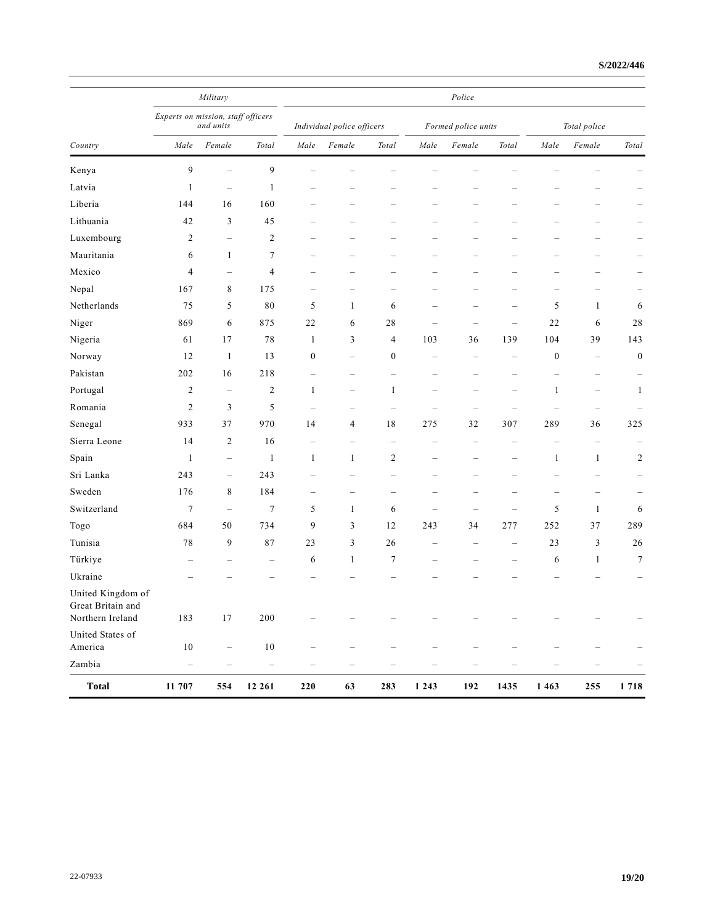|                                                            |                                                 | Military                 |                          | Police                     |                          |                          |                                                                           |                          |                          |                          |                          |                          |
|------------------------------------------------------------|-------------------------------------------------|--------------------------|--------------------------|----------------------------|--------------------------|--------------------------|---------------------------------------------------------------------------|--------------------------|--------------------------|--------------------------|--------------------------|--------------------------|
|                                                            | Experts on mission, staff officers<br>and units |                          |                          | Individual police officers |                          |                          | Formed police units                                                       |                          |                          | Total police             |                          |                          |
| Country                                                    | Male                                            | Female                   | Total                    | Male                       | Female                   | Total                    | Male                                                                      | Female                   | Total                    | Male                     | Female                   | Total                    |
| Kenya                                                      | 9                                               | $\overline{\phantom{0}}$ | 9                        |                            |                          |                          |                                                                           |                          |                          |                          |                          |                          |
| Latvia                                                     | $\mathbf{1}$                                    | $\qquad \qquad -$        | $\mathbf{1}$             |                            |                          |                          |                                                                           |                          |                          |                          |                          |                          |
| Liberia                                                    | 144                                             | 16                       | 160                      |                            |                          | -                        |                                                                           |                          |                          |                          |                          |                          |
| Lithuania                                                  | 42                                              | 3                        | 45                       |                            | -                        | -                        |                                                                           | -                        |                          |                          |                          |                          |
| Luxembourg                                                 | $\overline{c}$                                  | $\overline{\phantom{0}}$ | $\overline{c}$           |                            |                          |                          |                                                                           |                          |                          |                          |                          |                          |
| Mauritania                                                 | 6                                               | $\mathbf{1}$             | 7                        |                            |                          |                          |                                                                           |                          |                          |                          |                          |                          |
| Mexico                                                     | 4                                               | $\overline{\phantom{0}}$ | $\overline{\mathcal{A}}$ | $\overline{\phantom{a}}$   | -                        | -                        |                                                                           |                          |                          |                          |                          |                          |
| Nepal                                                      | 167                                             | 8                        | 175                      |                            |                          |                          |                                                                           |                          |                          |                          |                          |                          |
| Netherlands                                                | 75                                              | 5                        | 80                       | 5                          | $\mathbf{1}$             | 6                        | $\overline{\phantom{0}}$                                                  | $\overline{\phantom{0}}$ | -                        | 5                        | $\mathbf{1}$             | 6                        |
| Niger                                                      | 869                                             | 6                        | 875                      | 22                         | 6                        | 28                       | $\overline{\phantom{a}}$                                                  |                          | $\overline{\phantom{a}}$ | 22                       | 6                        | $2\sqrt{8}$              |
| Nigeria                                                    | 61                                              | 17                       | 78                       | $\mathbf{1}$               | 3                        | 4                        | 103                                                                       | 36                       | 139                      | 104                      | 39                       | 143                      |
| Norway                                                     | 12                                              | $\mathbf{1}$             | 13                       | $\boldsymbol{0}$           | $\overline{\phantom{0}}$ | $\boldsymbol{0}$         | $\overline{\phantom{0}}$                                                  | $\overline{\phantom{a}}$ | $\overline{\phantom{a}}$ | $\boldsymbol{0}$         | $\overline{\phantom{a}}$ | $\boldsymbol{0}$         |
| Pakistan                                                   | 202                                             | 16                       | 218                      |                            | $\overline{\phantom{0}}$ | -                        |                                                                           |                          |                          |                          | $\overline{\phantom{0}}$ |                          |
| Portugal                                                   | $\overline{c}$                                  | $\overline{\phantom{0}}$ | $\overline{c}$           | 1                          | $\overline{\phantom{0}}$ | $\mathbf{1}$             |                                                                           |                          |                          | $\mathbf{1}$             | $\overline{\phantom{0}}$ | $\mathbf{1}$             |
| Romania                                                    | $\mathfrak{2}$                                  | 3                        | 5                        | $\overline{\phantom{a}}$   | $\overline{\phantom{0}}$ | $\overline{\phantom{0}}$ | $\overline{\phantom{0}}$                                                  | $\overline{\phantom{a}}$ |                          | $\overline{\phantom{a}}$ | $\overline{\phantom{a}}$ |                          |
| Senegal                                                    | 933                                             | 37                       | 970                      | 14                         | 4                        | $18\,$                   | 275                                                                       | 32                       | 307                      | 289                      | 36                       | 325                      |
| Sierra Leone                                               | 14                                              | 2                        | 16                       | $\overline{\phantom{a}}$   | $\overline{\phantom{0}}$ | $\overline{\phantom{0}}$ | ÷                                                                         |                          |                          | $\overline{\phantom{a}}$ | $\overline{\phantom{0}}$ |                          |
| Spain                                                      | $\mathbf{1}$                                    | $\qquad \qquad -$        | $\mathbf{1}$             | $\mathbf{1}$               | $\mathbf{1}$             | $\mathfrak{2}$           | -                                                                         | $\overline{\phantom{a}}$ | $\overline{\phantom{0}}$ | $\mathbf{1}$             | $\mathbf{1}$             | $\sqrt{2}$               |
| Sri Lanka                                                  | 243                                             | $\qquad \qquad -$        | 243                      |                            | -                        | -                        |                                                                           |                          |                          |                          |                          |                          |
| Sweden                                                     | 176                                             | 8                        | 184                      |                            | $\overline{\phantom{0}}$ | -                        |                                                                           |                          |                          |                          |                          |                          |
| Switzerland                                                | $\tau$                                          | $\overline{\phantom{0}}$ | $\tau$                   | 5                          | $\mathbf{1}$             | 6                        | $\overline{\phantom{0}}$                                                  |                          |                          | $\sqrt{5}$               | $\mathbf{1}$             | 6                        |
| Togo                                                       | 684                                             | 50                       | 734                      | 9                          | 3                        | 12                       | 243                                                                       | 34                       | 277                      | 252                      | 37                       | 289                      |
| Tunisia                                                    | 78                                              | 9                        | 87                       | 23                         | 3                        | 26                       |                                                                           |                          | -                        | 23                       | 3                        | 26                       |
| Türkiye                                                    | $\overline{\phantom{a}}$                        | $\overline{\phantom{0}}$ | $\overline{\phantom{0}}$ | 6                          | 1                        | $\tau$                   | $\overline{\phantom{0}}$                                                  | $\sim$                   | $\overline{\phantom{0}}$ | 6                        | $\mathbf{1}$             | $\tau$                   |
| Ukraine                                                    |                                                 |                          |                          |                            |                          |                          |                                                                           |                          |                          |                          |                          |                          |
| United Kingdom of<br>Great Britain and<br>Northern Ireland | 183                                             | $17$                     | 200                      |                            |                          |                          |                                                                           |                          |                          |                          |                          |                          |
| United States of<br>America                                | 10                                              | $\overline{\phantom{a}}$ | $10\,$                   |                            |                          |                          | ÷                                                                         |                          |                          | $\overline{\phantom{a}}$ |                          |                          |
| Zambia                                                     | $\qquad \qquad -$                               | $\qquad \qquad -$        | $\qquad \qquad -$        | $\qquad \qquad -$          | $\qquad \qquad -$        | $\qquad \qquad -$        | $\hspace{1.0cm} \rule{1.5cm}{0.15cm} \hspace{1.0cm} \rule{1.5cm}{0.15cm}$ | $\overline{\phantom{0}}$ | $\overline{\phantom{0}}$ | $\overline{\phantom{a}}$ | $\qquad \qquad -$        | $\overline{\phantom{a}}$ |
| <b>Total</b>                                               | 11 707                                          | 554                      | 12 261                   | 220                        | 63                       | 283                      | 1 2 4 3                                                                   | 192                      | 1435                     | 1 4 6 3                  | 255                      | 1718                     |